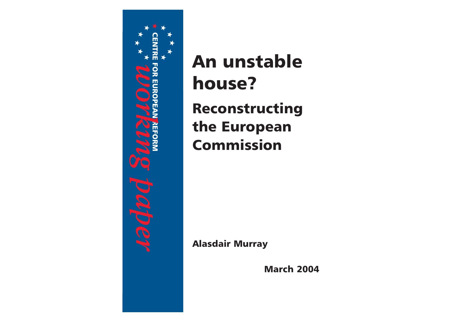

An unstablehouse? Reconstructing the European Commission

Alasdair Murray

March 2004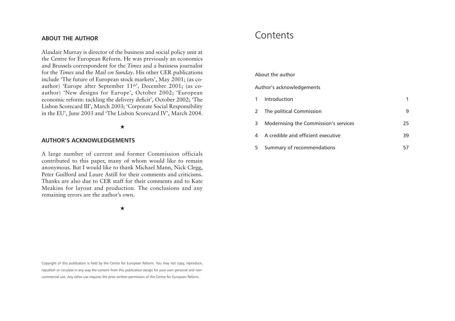### **ABOUT THE AUTHOR**

Alasdair Murray is director of the business and social policy unit at the Centre for European Reform. He was previously an economics and Brussels correspondent for the *Times* and a business journalist for the *Times* and the *Mail on Sunday*. His other CER publications include 'The future of European stock markets', May 2001; (as coauthor) 'Europe after September 11<sup>th</sup>', December 2001; (as coauthor) 'New designs for Europe', October 2002; 'European economic reform: tackling the delivery deficit', October 2002; 'The Lisbon Scorecard III', March 2003; 'Corporate Social Responsibility in the EU', June 2003 and 'The Lisbon Scorecard IV', March 2004.

### ★

### **AUTHOR'S ACKNOWLEDGEMENTS**

A large number of current and former Commission officials contributed to this paper, many of whom would like to remain anonymous. But I would like to thank Michael Mann, Nick Clegg, Peter Guilford and Laure Astill for their comments and criticisms.Thanks are also due to CER staff for their comments and to KateMeakins for layout and production. The conclusions and any remaining errors are the author's own.

★

Copyright of this publication is held by the Centre for European Reform. You may not copy, reproduce, republish or circulate in any way the content from this publication except for your own personal and noncommercial use. Any other use requires the prior written permission of the Centre for European Reform.

# **Contents**

### About the author

### Author's acknowledgements

|   | Introduction                          |    |
|---|---------------------------------------|----|
| 2 | The political Commission              |    |
| 3 | Modernising the Commission's services | 25 |
|   | A credible and efficient executive    | 39 |
| 5 | Summary of recommendations            |    |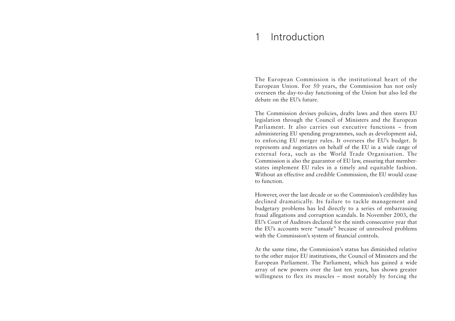#### 1Introduction

The European Commission is the institutional heart of the European Union. For 50 years, the Commission has not only overseen the day-to-day functioning of the Union but also led the debate on the EU's future.

The Commission devises policies, drafts laws and then steers EU legislation through the Council of Ministers and the European Parliament. It also carries out executive functions – fromadministering EU spending programmes, such as development aid, to enforcing EU merger rules. It oversees the EU's budget. It represents and negotiates on behalf of the EU in a wide range of external fora, such as the World Trade Organisation. The Commission is also the guarantor of EU law, ensuring that memberstates implement EU rules in a timely and equitable fashion. Without an effective and credible Commission, the EU would cease to function.

However, over the last decade or so the Commission's credibility has declined dramatically. Its failure to tackle management and budgetary problems has led directly to a series of embarrassing fraud allegations and corruption scandals. In November 2003, the EU's Court of Auditors declared for the ninth consecutive year that the EU's accounts were "unsafe" because of unresolved problems with the Commission's system of financial controls.

At the same time, the Commission's status has diminished relative to the other major EU institutions, the Council of Ministers and the European Parliament. The Parliament, which has gained a wide array of new powers over the last ten years, has shown greater willingness to flex its muscles – most notably by forcing the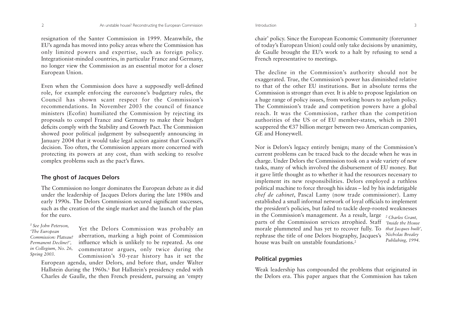resignation of the Santer Commission in 1999. Meanwhile, the EU's agenda has moved into policy areas where the Commission has only limited powers and expertise, such as foreign policy. Integrationist-minded countries, in particular France and Germany, no longer view the Commission as an essential motor for a closer European Union.

Even when the Commission does have a supposedly well-defined role, for example enforcing the eurozone's budgetary rules, the Council has shown scant respect for the Commission's recommendations. In November 2003 the council of financeministers (Ecofin) humiliated the Commission by rejecting its proposals to compel France and Germany to make their budget deficits comply with the Stability and Growth Pact. The Commission showed poor political judgement by subsequently announcing in January 2004 that it would take legal action against that Council's decision. Too often, the Commission appears more concerned with protecting its powers at any cost, than with seeking to resolve complex problems such as the pact's flaws.

# **The ghost of Jacques Delors**

The Commission no longer dominates the European debate as it did under the leadership of Jacques Delors during the late 1980s and early 1990s. The Delors Commission secured significant successes, such as the creation of the single market and the launch of the plan for the euro.

*1 See John Peterson, 'The European Commission: Plateau?Permanent Decline?', in Collegium, No. 26, Spring 2003.*

Yet the Delors Commission was probably an aberration, marking a high point of Commission influence which is unlikely to be repeated. As one commentator argues, only twice during the Commission's 50-year history has it set the

European agenda, under Delors, and before that, under Walter Hallstein during the 1960s.<sup>1</sup> But Hallstein's presidency ended with Charles de Gaulle, the then French president, pursuing an 'empty

chair' policy. Since the European Economic Community (forerunner of today's European Union) could only take decisions by unanimity, de Gaulle brought the EU's work to a halt by refusing to send a French representative to meetings.

The decline in the Commission's authority should not be exaggerated. True, the Commission's power has diminished relative to that of the other EU institutions. But in absolute terms theCommission is stronger than ever. It is able to propose legislation on a huge range of policy issues, from working hours to asylum policy. The Commission's trade and competition powers have a global reach. It was the Commission, rather than the competition authorities of the US or of EU member-states, which in 2001 scuppered the S37 billion merger between two American companies, GE and Honeywell.

Nor is Delors's legacy entirely benign; many of the Commission's current problems can be traced back to the decade when he was in charge. Under Delors the Commission took on a wide variety of new tasks, many of which involved the disbursement of EU money. But it gave little thought as to whether it had the resources necessary to implement its new responsibilities. Delors employed a ruthless political machine to force through his ideas – led by his indefatigable *chef de cabinet*, Pascal Lamy (now trade commissioner). Lamy established a small informal network of loyal officials to implement the president's policies, but failed to tackle deep-rooted weaknesses in the Commission's management. As a result, large *2 Charles Grant,* parts of the Commission services atrophied. Staff *'Inside the House*morale plummeted and has yet to recover fully. To *that Jacques built',* rephrase the title of one Delors biography, Jacques's *Nicholas Brealey* house was built on unstable foundations.<sup>2</sup> *Publishing, 1994.*

# **Political pygmies**

Weak leadership has compounded the problems that originated in the Delors era. This paper argues that the Commission has taken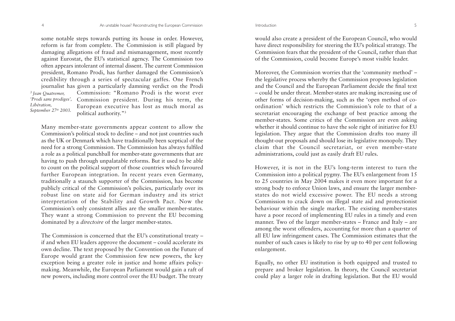some notable steps towards putting its house in order. However, reform is far from complete. The Commission is still plagued by damaging allegations of fraud and mismanagement, most recently against Eurostat, the EU's statistical agency. The Commission too often appears intolerant of internal dissent. The current Commission president, Romano Prodi, has further damaged the Commission's credibility through a series of spectacular gaffes. One French journalist has given a particularly damning verdict on the Prodi Commission: "Romano Prodi is the worst ever'Prodi sans prodiges', Commission president. During his term, the European executive has lost as much moral as political authority."3 *3 Jean Quatremer, Libération, September 27th 2003.*

Many member-state governments appear content to allow the Commission's political stock to decline – and not just countries such as the UK or Denmark which have traditionally been sceptical of the need for a strong Commission. The Commission has always fulfiled a role as a political punchball for member-state governments that are having to push through unpalatable reforms. But it used to be able to count on the political support of those countries which favoured further European integration. In recent years even Germany, traditionally a staunch supporter of the Commission, has become publicly critical of the Commission's policies, particularly over its robust line on state aid for German industry and its strict interpretation of the Stability and Growth Pact. Now the Commission's only consistent allies are the smaller member-states. They want a strong Commission to prevent the EU becoming dominated by a *directoire* of the larger member-states.

The Commission is concerned that the EU's constitutional treaty – if and when EU leaders approve the document – could accelerate its own decline. The text proposed by the Convention on the Future of Europe would grant the Commission few new powers, the key exception being a greater role in justice and home affairs policymaking. Meanwhile, the European Parliament would gain a raft of new powers, including more control over the EU budget. The treaty

would also create a president of the European Council, who would have direct responsibility for steering the EU's political strategy. The Commission fears that the president of the Council, rather than that of the Commission, could become Europe's most visible leader.

Moreover, the Commission worries that the 'community method' – the legislative process whereby the Commission proposes legislation and the Council and the European Parliament decide the final text – could be under threat. Member-states are making increasing use of other forms of decision-making, such as the 'open method of coordination' which restricts the Commission's role to that of a secretariat encouraging the exchange of best practice among the member-states. Some critics of the Commission are even asking whether it should continue to have the sole right of initiative for EU legislation. They argue that the Commission drafts too many ill thought-out proposals and should lose its legislative monopoly. They claim that the Council secretariat, or even member-state administrations, could just as easily draft EU rules.

However, it is not in the EU's long-term interest to turn the Commission into a political pygmy. The EU's enlargement from 15 to 25 countries in May 2004 makes it even more important for a strong body to enforce Union laws, and ensure the larger memberstates do not wield excessive power. The EU needs a strong Commission to crack down on illegal state aid and protectionist behaviour within the single market. The existing member-states have a poor record of implementing EU rules in a timely and even manner. Two of the larger member-states – France and Italy – are among the worst offenders, accounting for more than a quarter of all EU law infringement cases. The Commission estimates that the number of such cases is likely to rise by up to 40 per cent following enlargement.

Equally, no other EU institution is both equipped and trusted to prepare and broker legislation. In theory, the Council secretariat could play a larger role in drafting legislation. But the EU would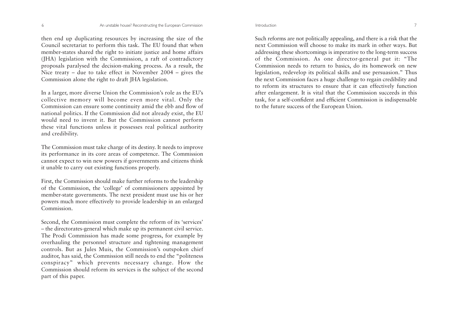then end up duplicating resources by increasing the size of the Council secretariat to perform this task. The EU found that when member-states shared the right to initiate justice and home affairs (JHA) legislation with the Commission, a raft of contradictory proposals paralysed the decision-making process. As a result, the Nice treaty – due to take effect in November 2004 – gives the Commission alone the right to draft JHA legislation.

In a larger, more diverse Union the Commission's role as the EU's collective memory will become even more vital. Only the Commission can ensure some continuity amid the ebb and flow of national politics. If the Commission did not already exist, the EU would need to invent it. But the Commission cannot perform these vital functions unless it possesses real political authority and credibility.

The Commission must take charge of its destiny. It needs to improve its performance in its core areas of competence. The Commission cannot expect to win new powers if governments and citizens think it unable to carry out existing functions properly.

First, the Commission should make further reforms to the leadership of the Commission, the 'college' of commissioners appointed by member-state governments. The next president must use his or her powers much more effectively to provide leadership in an enlarged Commission.

Second, the Commission must complete the reform of its 'services' – the directorates-general which make up its permanent civil service. The Prodi Commission has made some progress, for example by overhauling the personnel structure and tightening management controls. But as Jules Muis, the Commission's outspoken chief auditor, has said, the Commission still needs to end the "politeness conspiracy" which prevents necessary change. How the Commission should reform its services is the subject of the second part of this paper.

Such reforms are not politically appealing, and there is a risk that the next Commission will choose to make its mark in other ways. But addressing these shortcomings is imperative to the long-term success of the Commission. As one director-general put it: "The Commission needs to return to basics, do its homework on new legislation, redevelop its political skills and use persuasion." Thus the next Commission faces a huge challenge to regain credibility and to reform its structures to ensure that it can effectively function after enlargement. It is vital that the Commission succeeds in this task, for a self-confident and efficient Commission is indispensable to the future success of the European Union.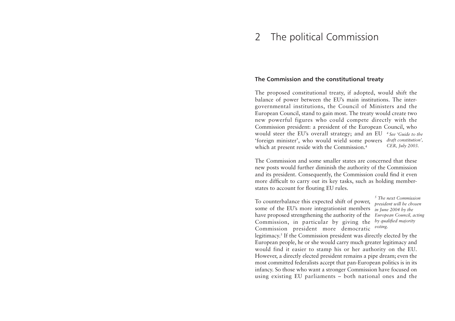### 2The political Commission

# **The Commission and the constitutional treaty**

The proposed constitutional treaty, if adopted, would shift the balance of power between the EU's main institutions. The intergovernmental institutions, the Council of Ministers and the European Council, stand to gain most. The treaty would create two new powerful figures who could compete directly with the Commission president: a president of the European Council, who would steer the EU's overall strategy; and an EU *4 See 'Guide to the*'foreign minister', who would wield some powers *draft constitution',* which at present reside with the Commission.4 *CER, July 2003.*

The Commission and some smaller states are concerned that thesenew posts would further diminish the authority of the Commission and its president. Consequently, the Commission could find it even more difficult to carry out its key tasks, such as holding memberstates to account for flouting EU rules.

To counterbalance this expected shift of power, some of the EU's more integrationist members *in June 2004 by the* have proposed strengthening the authority of the Commission, in particular by giving the Commission president more democratic

*5 The next Commissionpresident will be chosen European Council, acting by qualified majority voting.* 

legitimacy.5 If the Commission president was directly elected by the European people, he or she would carry much greater legitimacy and would find it easier to stamp his or her authority on the EU. However, a directly elected president remains a pipe dream; even the most committed federalists accept that pan-European politics is in its infancy. So those who want a stronger Commission have focused on using existing EU parliaments – both national ones and the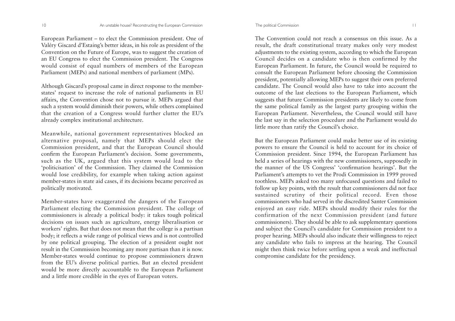European Parliament – to elect the Commission president. One of Valéry Giscard d'Estaing's better ideas, in his role as president of the Convention on the Future of Europe, was to suggest the creation of an EU Congress to elect the Commission president. The Congress would consist of equal numbers of members of the European Parliament (MEPs) and national members of parliament (MPs).

Although Giscard's proposal came in direct response to the memberstates' request to increase the role of national parliaments in EU affairs, the Convention chose not to pursue it. MEPs argued that such a system would diminish their powers, while others complained that the creation of a Congress would further clutter the EU's already complex institutional architecture.

Meanwhile, national government representatives blocked an alternative proposal, namely that MEPs should elect the Commission president, and that the European Council should confirm the European Parliament's decision. Some governments, such as the UK, argued that this system would lead to the 'politicisation' of the Commission. They claimed the Commission would lose credibility, for example when taking action against member-states in state aid cases, if its decisions became perceived as politically motivated.

Member-states have exaggerated the dangers of the European Parliament electing the Commission president. The college of commissioners is already a political body: it takes tough political decisions on issues such as agriculture, energy liberalisation or workers' rights. But that does not mean that the college is a partisan body; it reflects a wide range of political views and is not controlled by one political grouping. The election of a president ought not result in the Commission becoming any more partisan than it is now. Member-states would continue to propose commissioners drawn from the EU's diverse political parties. But an elected president would be more directly accountable to the European Parliament and a little more credible in the eyes of European voters.

The Convention could not reach a consensus on this issue. As aresult, the draft constitutional treaty makes only very modest adjustments to the existing system, according to which the European Council decides on a candidate who is then confirmed by the European Parliament. In future, the Council would be required to consult the European Parliament before choosing the Commission president, potentially allowing MEPs to suggest their own preferred candidate. The Council would also have to take into account theoutcome of the last elections to the European Parliament, which suggests that future Commission presidents are likely to come from the same political family as the largest party grouping within the European Parliament. Nevertheless, the Council would still have the last say in the selection procedure and the Parliament would do little more than ratify the Council's choice.

But the European Parliament could make better use of its existing powers to ensure the Council is held to account for its choice of Commission president. Since 1994, the European Parliament has held a series of hearings with the new commissioners, supposedly in the manner of the US Congress' 'confirmation hearings'. But the Parliament's attempts to vet the Prodi Commission in 1999 proved toothless. MEPs asked too many unfocused questions and failed to follow up key points, with the result that commissioners did not face sustained scrutiny of their political record. Even those commissioners who had served in the discredited Santer Commissionenjoyed an easy ride. MEPs should modify their rules for the confirmation of the next Commission president (and future commissioners). They should be able to ask supplementary questions and subject the Council's candidate for Commission president to a proper hearing. MEPs should also indicate their willingness to reject any candidate who fails to impress at the hearing. The Council might then think twice before settling upon a weak and ineffectual compromise candidate for the presidency.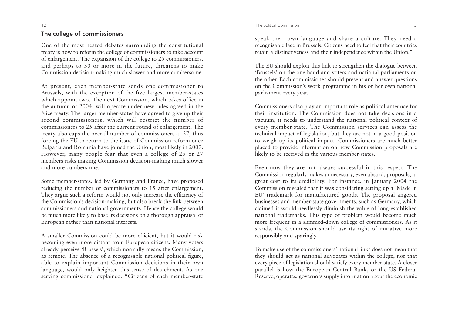# **The college of commissioners**

One of the most heated debates surrounding the constitutional treaty is how to reform the college of commissioners to take account of enlargement. The expansion of the college to 25 commissioners, and perhaps to 30 or more in the future, threatens to make Commission decision-making much slower and more cumbersome.

At present, each member-state sends one commissioner to Brussels, with the exception of the five largest member-states which appoint two. The next Commission, which takes office in the autumn of 2004, will operate under new rules agreed in the Nice treaty. The larger member-states have agreed to give up their second commissioners, which will restrict the number of commissioners to 25 after the current round of enlargement. The treaty also caps the overall number of commissioners at 27, thus forcing the EU to return to the issue of Commission reform once Bulgaria and Romania have joined the Union, most likely in 2007. However, many people fear that even a college of 25 or 27 members risks making Commission decision-making much slower and more cumbersome.

Some member-states, led by Germany and France, have proposed reducing the number of commissioners to 15 after enlargement. They argue such a reform would not only increase the efficiency of the Commission's decision-making, but also break the link between commissioners and national governments. Hence the college would be much more likely to base its decisions on a thorough appraisal of European rather than national interests.

A smaller Commission could be more efficient, but it would risk becoming even more distant from European citizens. Many voters already perceive 'Brussels', which normally means the Commission, as remote. The absence of a recognisable national political figure, able to explain important Commission decisions in their own language, would only heighten this sense of detachment. As one serving commissioner explained: "Citizens of each member-state speak their own language and share a culture. They need a recognisable face in Brussels. Citizens need to feel that their countries retain a distinctiveness and their independence within the Union."

The EU should exploit this link to strengthen the dialogue between 'Brussels' on the one hand and voters and national parliaments on the other. Each commissioner should present and answer questions on the Commission's work programme in his or her own national parliament every year.

Commissioners also play an important role as political antennae for their institution. The Commission does not take decisions in avacuum; it needs to understand the national political context of every member-state. The Commission services can assess the technical impact of legislation, but they are not in a good position to weigh up its political impact. Commissioners are much better <sup>p</sup>laced to provide information on how Commission proposals are likely to be received in the various member-states.

Even now they are not always successful in this respect. The Commission regularly makes unnecessary, even absurd, proposals, at great cost to its credibility. For instance, in January 2004 the Commission revealed that it was considering setting up a 'Made in EU' trademark for manufactured goods. The proposal angered businesses and member-state governments, such as Germany, which claimed it would needlessly diminish the value of long-established national trademarks. This type of problem would become much more frequent in a slimmed-down college of commissioners. As it stands, the Commission should use its right of initiative more responsibly and sparingly.

To make use of the commissioners' national links does not mean that they should act as national advocates within the college, nor that every piece of legislation should satisfy every member-state. A closer parallel is how the European Central Bank, or the US Federal Reserve, operates: governors supply information about the economic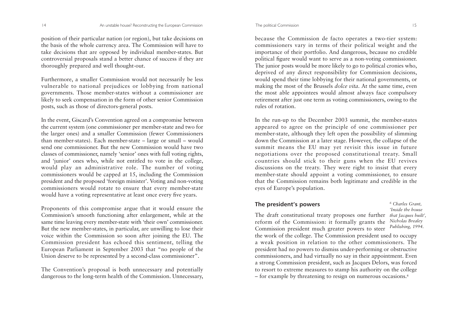position of their particular nation (or region), but take decisions on the basis of the whole currency area. The Commission will have to take decisions that are opposed by individual member-states. But controversial proposals stand a better chance of success if they are thoroughly prepared and well thought-out.

Furthermore, a smaller Commission would not necessarily be less vulnerable to national prejudices or lobbying from national governments. Those member-states without a commissioner are likely to seek compensation in the form of other senior Commission posts, such as those of directors-general posts.

In the event, Giscard's Convention agreed on a compromise between the current system (one commissioner per member-state and two for the larger ones) and a smaller Commission (fewer Commissioners than member-states). Each member-state – large or small – would send one commissioner. But the new Commission would have twoclasses of commissioner, namely 'senior' ones with full voting rights, and 'junior' ones who, while not entitled to vote in the college, would play an administrative role. The number of voting commissioners would be capped at 15, including the Commission president and the proposed 'foreign minister'. Voting and non-voting commissioners would rotate to ensure that every member-state would have a voting representative at least once every five years.

Proponents of this compromise argue that it would ensure the Commission's smooth functioning after enlargement, while at the same time leaving every member-state with 'their own' commissioner. But the new member-states, in particular, are unwilling to lose their voice within the Commission so soon after joining the EU. The Commission president has echoed this sentiment, telling the European Parliament in September 2003 that "no people of the Union deserve to be represented by a second-class commissioner".

The Convention's proposal is both unnecessary and potentially dangerous to the long-term health of the Commission. Unnecessary,

because the Commission de facto operates a two-tier system: commissioners vary in terms of their political weight and the importance of their portfolio. And dangerous, because no credible political figure would want to serve as a non-voting commissioner. The junior posts would be more likely to go to political cronies who, deprived of any direct responsibility for Commission decisions, would spend their time lobbying for their national governments, or making the most of the Brussels *dolce vita*. At the same time, even the most able appointees would almost always face compulsory retirement after just one term as voting commissioners, owing to the rules of rotation.

In the run-up to the December 2003 summit, the member-states appeared to agree on the principle of one commissioner per member-state, although they left open the possibility of slimming down the Commission at a later stage. However, the collapse of the summit means the EU may yet revisit this issue in future negotiations over the proposed constitutional treaty. Small countries should stick to their guns when the EU revives discussions on the treaty. They were right to insist that every member-state should appoint a voting commissioner, to ensure that the Commission remains both legitimate and credible in the eyes of Europe's population.

# **The president's powers**

The draft constitutional treaty proposes one further *that Jacques built', 6 Charles Grant, 'Inside the houseNicholas Brealey*

reform of the Commission: it formally grants the Commission president much greater powers to steer the work of the college. The Commission president used to occupy a weak position in relation to the other commissioners. The president had no powers to dismiss under-performing or obstructive commissioners, and had virtually no say in their appointment. Even a strong Commission president, such as Jacques Delors, was forced to resort to extreme measures to stamp his authority on the college – for example by threatening to resign on numerous occasions.6 *Publishing, 1994.*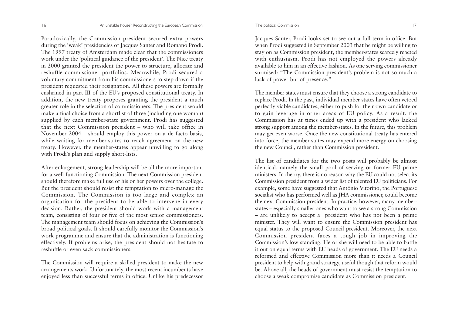Paradoxically, the Commission president secured extra powers during the 'weak' presidencies of Jacques Santer and Romano Prodi. The 1997 treaty of Amsterdam made clear that the commissioners work under the 'political guidance of the president'. The Nice treaty in 2000 granted the president the power to structure, allocate and reshuffle commissioner portfolios. Meanwhile, Prodi secured a voluntary commitment from his commissioners to step down if the president requested their resignation. All these powers are formally enshrined in part III of the EU's proposed constitutional treaty. In addition, the new treaty proposes granting the president a much greater role in the selection of commissioners. The president would make a final choice from a shortlist of three (including one woman) supplied by each member-state government. Prodi has suggested that the next Commission president – who will take office in November 2004 – should employ this power on a de facto basis, while waiting for member-states to reach agreement on the new treaty. However, the member-states appear unwilling to go along with Prodi's plan and supply short-lists.

After enlargement, strong leadership will be all the more important for a well-functioning Commission. The next Commission president should therefore make full use of his or her powers over the college. But the president should resist the temptation to micro-manage the Commission. The Commission is too large and complex an organisation for the president to be able to intervene in every decision. Rather, the president should work with a management team, consisting of four or five of the most senior commissioners. The management team should focus on achieving the Commission's broad political goals. It should carefully monitor the Commission's work programme and ensure that the administration is functioning effectively. If problems arise, the president should not hesitate to reshuffle or even sack commissioners.

The Commission will require a skilled president to make the new arrangements work. Unfortunately, the most recent incumbents have enjoyed less than successful terms in office. Unlike his predecessor Jacques Santer, Prodi looks set to see out a full term in office. But when Prodi suggested in September 2003 that he might be willing to stay on as Commission president, the member-states scarcely reacted with enthusiasm. Prodi has not employed the powers already available to him in an effective fashion. As one serving commissioner surmised: "The Commission president's problem is not so much a lack of power but of presence."

The member-states must ensure that they choose a strong candidate to replace Prodi. In the past, individual member-states have often vetoed perfectly viable candidates, either to push for their own candidate or to gain leverage in other areas of EU policy. As a result, the Commission has at times ended up with a president who lacked strong support among the member-states. In the future, this problem may get even worse. Once the new constitutional treaty has entered into force, the member-states may expend more energy on choosing the new Council, rather than Commission president.

The list of candidates for the two posts will probably be almost identical, namely the small pool of serving or former EU prime ministers. In theory, there is no reason why the EU could not select its Commission president from a wider list of talented EU politicians. For example, some have suggested that António Vitorino, the Portuguese socialist who has performed well as JHA commissioner, could become the next Commission president. In practice, however, many memberstates – especially smaller ones who want to see a strong Commission – are unlikely to accept a president who has not been a prime minister. They will want to ensure the Commission president has equal status to the proposed Council president. Moreover, the next Commission president faces a tough job in improving the Commission's low standing. He or she will need to be able to battle it out on equal terms with EU heads of government. The EU needs a reformed and effective Commission more than it needs a Councilpresident to help with grand strategy, useful though that reform would be. Above all, the heads of government must resist the temptation to choose a weak compromise candidate as Commission president.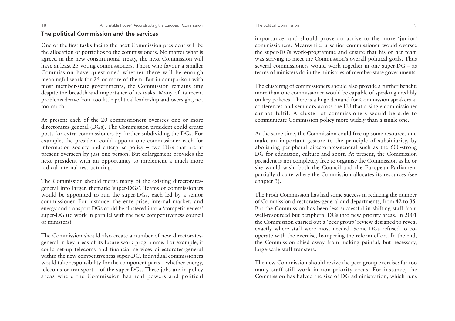### **The political Commission and the services**

One of the first tasks facing the next Commission president will be the allocation of portfolios to the commissioners. No matter what is agreed in the new constitutional treaty, the next Commission will have at least 25 voting commissioners. Those who favour a smaller Commission have questioned whether there will be enough meaningful work for 25 or more of them. But in comparison with most member-state governments, the Commission remains tiny despite the breadth and importance of its tasks. Many of its recent problems derive from too little political leadership and oversight, not too much.

At present each of the 20 commissioners oversees one or more directorates-general (DGs). The Commission president could create posts for extra commissioners by further subdividing the DGs. For example, the president could appoint one commissioner each for information society and enterprise policy – two DGs that are at present overseen by just one person. But enlargement provides the next president with an opportunity to implement a much more radical internal restructuring.

The Commission should merge many of the existing directoratesgeneral into larger, thematic 'super-DGs'. Teams of commissioners would be appointed to run the super-DGs, each led by a senior commissioner. For instance, the enterprise, internal market, and energy and transport DGs could be clustered into a 'competitiveness' super-DG (to work in parallel with the new competitiveness council of ministers).

The Commission should also create a number of new directoratesgeneral in key areas of its future work programme. For example, it could set-up telecoms and financial services directorates-general within the new competitiveness super-DG. Individual commissioners would take responsibility for the component parts – whether energy, telecoms or transport – of the super-DGs. These jobs are in policy areas where the Commission has real powers and political

importance, and should prove attractive to the more 'junior' commissioners. Meanwhile, a senior commissioner would oversee the super-DG's work-programme and ensure that his or her team was striving to meet the Commission's overall political goals. Thus several commissioners would work together in one super-DG – as teams of ministers do in the ministries of member-state governments.

The clustering of commissioners should also provide a further benefit: more than one commissioner would be capable of speaking credibly on key policies. There is a huge demand for Commission speakers at conferences and seminars across the EU that a single commissioner cannot fulfil. A cluster of commissioners would be able tocommunicate Commission policy more widely than a single one.

At the same time, the Commission could free up some resources and make an important gesture to the principle of subsidiarity, by abolishing peripheral directorates-general such as the 600-strong DG for education, culture and sport. At present, the Commission president is not completely free to organise the Commission as he or she would wish: both the Council and the European Parliament partially dictate where the Commission allocates its resources (see chapter 3).

The Prodi Commission has had some success in reducing the number of Commission directorates-general and departments, from 42 to 35. But the Commission has been less successful in shifting staff from well-resourced but peripheral DGs into new priority areas. In 2001 the Commission carried out a 'peer group' review designed to reveal exactly where staff were most needed. Some DGs refused to cooperate with the exercise, hampering the reform effort. In the end, the Commission shied away from making painful, but necessary, large-scale staff transfers.

The new Commission should revive the peer group exercise: far too many staff still work in non-priority areas. For instance, the Commission has halved the size of DG administration, which runs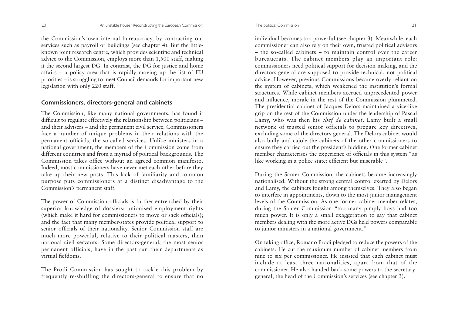the Commission's own internal bureaucracy, by contracting out services such as payroll or buildings (see chapter 4). But the littleknown joint research centre, which provides scientific and technical advice to the Commission, employs more than 1,500 staff, making it the second largest DG. In contrast, the DG for justice and home affairs – a policy area that is rapidly moving up the list of EU priorities – is struggling to meet Council demands for important new legislation with only 220 staff.

### **Commissioners, directors-general and cabinets**

The Commission, like many national governments, has found it difficult to regulate effectively the relationship between politicians – and their advisers – and the permanent civil service. Commissioners face a number of unique problems in their relations with the permanent officials, the so-called services. Unlike ministers in a national government, the members of the Commission come from different countries and from a myriad of political backgrounds. The Commission takes office without an agreed common manifesto. Indeed, most commissioners have never met each other before they take up their new posts. This lack of familiarity and common purpose puts commissioners at a distinct disadvantage to the Commission's permanent staff.

The power of Commission officials is further entrenched by their superior knowledge of dossiers; unionised employment rights (which make it hard for commissioners to move or sack officials); and the fact that many member-states provide political support to senior officials of their nationality. Senior Commission staff are much more powerful, relative to their political masters, than national civil servants. Some directors-general, the most senior permanent officials, have in the past run their departments as virtual fiefdoms.

The Prodi Commission has sought to tackle this problem by frequently re-shuffling the directors-general to ensure that no

individual becomes too powerful (see chapter 3). Meanwhile, each commissioner can also rely on their own, trusted political advisors – the so-called cabinets – to maintain control over the careerbureaucrats. The cabinet members play an important role: commissioners need political support for decision-making, and the directors-general are supposed to provide technical, not political advice. However, previous Commissions became overly reliant on the system of cabinets, which weakened the institution's formal structures. While cabinet members accrued unprecedented power and influence, morale in the rest of the Commission plummeted. The presidential cabinet of Jacques Delors maintained a vice-like grip on the rest of the Commission under the leadership of Pascal Lamy, who was then his *chef de cabinet*. Lamy built a small network of trusted senior officials to prepare key directives, excluding some of the directors-general. The Delors cabinet would also bully and cajole the cabinets of the other commissioners to ensure they carried out the president's bidding. One former cabinet member characterises the experience of officials in this system "as like working in a police state: efficient but miserable".

During the Santer Commission, the cabinets became increasingly nationalised. Without the strong central control exerted by Delors and Lamy, the cabinets fought among themselves. They also began to interfere in appointments, down to the most junior management levels of the Commission. As one former cabinet member relates, during the Santer Commission "too many pimply boys had too much power. It is only a small exaggeration to say that cabinet members dealing with the more active DGs held powers comparable to junior ministers in a national government."

On taking office, Romano Prodi pledged to reduce the powers of the cabinets. He cut the maximum number of cabinet members fromnine to six per commissioner. He insisted that each cabinet must include at least three nationalities, apart from that of the commissioner. He also handed back some powers to the secretarygeneral, the head of the Commission's services (see chapter 3).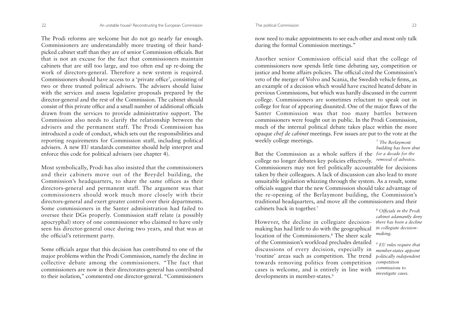The Prodi reforms are welcome but do not go nearly far enough. Commissioners are understandably more trusting of their hand<sup>p</sup>icked cabinet staff than they are of senior Commission officials. But that is not an excuse for the fact that commissioners maintaincabinets that are still too large, and too often end up re-doing the work of directors-general. Therefore a new system is required. Commissioners should have access to a 'private office', consisting of two or three trusted political advisers. The advisers should liaise with the services and assess legislative proposals prepared by the director-general and the rest of the Commission. The cabinet should consist of this private office and a small number of additional officials drawn from the services to provide administrative support. The Commission also needs to clarify the relationship between the advisers and the permanent staff. The Prodi Commission has introduced a code of conduct, which sets out the responsibilities and reporting requirements for Commission staff, including political advisers. A new EU standards committee should help interpret and enforce this code for political advisers (see chapter 4).

Most symbolically, Prodi has also insisted that the commissioners and their cabinets move out of the Breydel building, the Commission's headquarters, to share the same offices as their directors-general and permanent staff. The argument was that commissioners should work much more closely with their directors-general and exert greater control over their departments. Some commissioners in the Santer administration had failed to oversee their DGs properly. Commission staff relate (a possibly apocryphal) story of one commissioner who claimed to have only seen his director-general once during two years, and that was at the official's retirement party.

Some officials argue that this decision has contributed to one of the major problems within the Prodi Commission, namely the decline in collective debate among the commissioners. "The fact that commissioners are now in their directorates-general has contributed to their isolation," commented one director-general. "Commissioners

now need to make appointments to see each other and most only talk during the formal Commission meetings."

Another senior Commission official said that the college of commissioners now spends little time debating say, competition or justice and home affairs policies. The official cited the Commission's veto of the merger of Volvo and Scania, the Swedish vehicle firms, as an example of a decision which would have excited heated debate in previous Commissions, but which was hardly discussed in the current college. Commissioners are sometimes reluctant to speak out in college for fear of appearing disunited. One of the major flaws of the Santer Commission was that too many battles between commissioners were fought out in public. In the Prodi Commission, much of the internal political debate takes place within the more opaque *chef de cabinet* meetings. Few issues are put to the vote at the weekly college meetings. *7 The Berlaymont* 

*building has been shut*

But the Commission as a whole suffers if the *for a decade for the* college no longer debates key policies effectively. *removal of asbestos.*Commissioners may not feel politically accountable for decisions taken by their colleagues. A lack of discussion can also lead to more unsuitable legislation whizzing through the system. As a result, some officials suggest that the new Commission should take advantage of the re-opening of the Berlaymont building, the Commission's traditional headquarters, and move all the commissioners and their cabinets back in together.7

However, the decline in collegiate decisionmaking has had little to do with the geographical location of the Commissioners.8 The sheer scaleof the Commission's workload precludes detailed discussions of every decision, especially in 'routine' areas such as competition. The trend towards removing politics from competition cases is welcome, and is entirely in line with developments in member-states.<sup>9</sup>

*8 Officials in the Prodi cabinet adamantly deny there has been a declinein collegiate decisionmaking.*

*9 EU rules require that member-states appoint politically independent competition commissions to investigate cases.*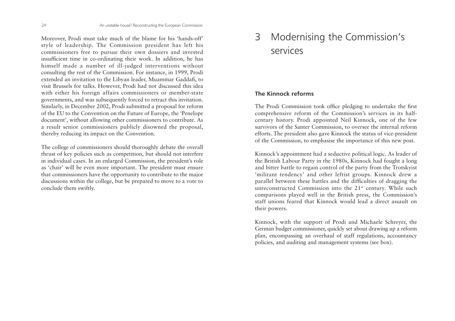Moreover, Prodi must take much of the blame for his 'hands-off' style of leadership. The Commission president has left his commissioners free to pursue their own dossiers and invested insufficient time in co-ordinating their work. In addition, he has himself made a number of ill-judged interventions without consulting the rest of the Commission. For instance, in 1999, Prodi extended an invitation to the Libyan leader, Muammar Gaddafi, to visit Brussels for talks. However, Prodi had not discussed this idea with either his foreign affairs commissioners or member-state governments, and was subsequently forced to retract this invitation. Similarly, in December 2002, Prodi submitted a proposal for reform of the EU to the Convention on the Future of Europe, the 'Penelope document', without allowing other commissioners to contribute. As a result senior commissioners publicly disowned the proposal, thereby reducing its impact on the Convention.

The college of commissioners should thoroughly debate the overall thrust of key policies such as competition, but should not interfere in individual cases. In an enlarged Commission, the president's role as 'chair' will be even more important. The president must ensure that commissioners have the opportunity to contribute to the major discussions within the college, but be prepared to move to a vote to conclude them swiftly.

# 3 Modernising the Commission's services

# **The Kinnock reforms**

The Prodi Commission took office pledging to undertake the first comprehensive reform of the Commission's services in its halfcentury history. Prodi appointed Neil Kinnock, one of the few survivors of the Santer Commission, to oversee the internal reform efforts. The president also gave Kinnock the status of vice-president of the Commission, to emphasise the importance of this new post.

Kinnock's appointment had a seductive political logic. As leader of the British Labour Party in the 1980s, Kinnock had fought a long and bitter battle to regain control of the party from the Trotskyist 'militant tendency' and other leftist groups. Kinnock drew a parallel between these battles and the difficulties of dragging the unreconstructed Commission into the 21<sup>st</sup> century. While such comparisons played well in the British press, the Commission's staff unions feared that Kinnock would lead a direct assault ontheir powers.

Kinnock, with the support of Prodi and Michaele Schreyer, the German budget commissioner, quickly set about drawing up a reform <sup>p</sup>lan, encompassing an overhaul of staff regulations, accountancy policies, and auditing and management systems (see box).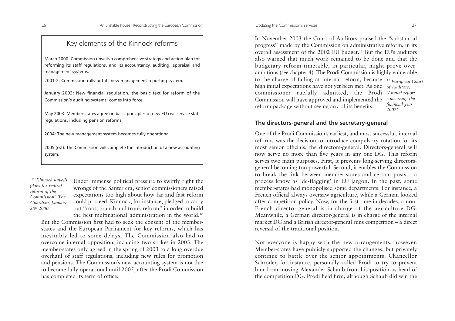# Key elements of the Kinnock reforms

March 2000: Commission unveils a comprehensive strategy and action plan for reforming its staff regulations, and its accountancy, auditing, appraisal and management systems.

2001-2: Commission rolls out its new management reporting system.

January 2003: New financial regulation, the basic text for reform of the Commission's auditing systems, comes into force.

May 2003: Member-states agree on basic principles of new EU civil service staff regulations, including pension reforms.

2004: The new management system becomes fully operational.

2005 (est): The Commission will complete the introduction of a new accounting system.

*10 'Kinnock unveilsplans for radical reform of the Commission', The Guardian, January 20th 2000.*

Under immense political pressure to swiftly right the wrongs of the Santer era, senior commissioners raised expectations too high about how far and fast reform could proceed. Kinnock, for instance, pledged to carry out "root, branch and trunk reform" in order to build the best multinational administration in the world.10

But the Commission first had to seek the consent of the memberstates and the European Parliament for key reforms, which has inevitably led to some delays. The Commission also had to overcome internal opposition, including two strikes in 2003. The member-states only agreed in the spring of 2003 to a long overdue overhaul of staff regulations, including new rules for promotion and pensions. The Commission's new accounting system is not due to become fully operational until 2005, after the Prodi Commission has completed its term of office.

In November 2003 the Court of Auditors praised the "substantial progress" made by the Commission on administrative reform, in its overall assessment of the 2002 EU budget.11 But the EU's auditors also warned that much work remained to be done and that thebudgetary reform timetable, in particular, might prove overambitious (see chapter 4). The Prodi Commission is highly vulnerable to the charge of failing at internal reform, because *11 European Court* high initial expectations have not yet been met. As one *of Auditors,* commissioner ruefully admitted, the Prodi *'Annual report*  Commission will have approved and implemented the reform package without seeing any of its benefits. *concerning the financial year 2002'.*

# **The directors-general and the secretary-general**

One of the Prodi Commission's earliest, and most successful, internal reforms was the decision to introduce compulsory rotation for its most senior officials, the directors-general. Directors-general will now serve no more than five years in any one DG. This reform serves two main purposes. First, it prevents long-serving directorsgeneral becoming too powerful. Second, it enables the Commission to break the link between member-states and certain posts – a process know as 'de-flagging' in EU jargon. In the past, some member-states had monopolised some departments. For instance, a French official always oversaw agriculture, while a German looked after competition policy. Now, for the first time in decades, a non-French director-general is in charge of the agriculture DG. Meanwhile, a German director-general is in charge of the internal market DG and a British director-general runs competition – a direct reversal of the traditional position.

Not everyone is happy with the new arrangements, however. Member-states have publicly supported the changes, but privately continue to battle over the senior appointments. Chancellor Schröder, for instance, personally called Prodi to try to prevent him from moving Alexander Schaub from his position as head of the competition DG. Prodi held firm, although Schaub did win the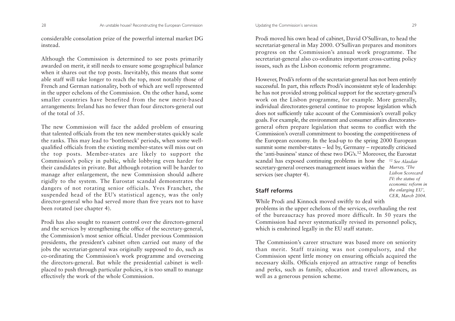considerable consolation prize of the powerful internal market DG instead.

Although the Commission is determined to see posts primarily awarded on merit, it still needs to ensure some geographical balance when it shares out the top posts. Inevitably, this means that some able staff will take longer to reach the top, most notably those of French and German nationality, both of which are well represented in the upper echelons of the Commission. On the other hand, some smaller countries have benefited from the new merit-basedarrangements: Ireland has no fewer than four directors-general out of the total of 35.

The new Commission will face the added problem of ensuring that talented officials from the ten new member-states quickly scale the ranks. This may lead to 'bottleneck' periods, when some wellqualified officials from the existing member-states will miss out on the top posts. Member-states are likely to support the Commission's policy in public, while lobbying even harder for their candidates in private. But although rotation will be harder to manage after enlargement, the new Commission should adhere rigidly to the system. The Eurostat scandal demonstrates the dangers of not rotating senior officials. Yves Franchet, the suspended head of the EU's statistical agency, was the only director-general who had served more than five years not to have been rotated (see chapter 4).

Prodi has also sought to reassert control over the directors-general and the services by strengthening the office of the secretary-general, the Commission's most senior official. Under previous Commission presidents, the president's cabinet often carried out many of the jobs the secretariat-general was originally supposed to do, such as co-ordinating the Commission's work programme and overseeing the directors-general. But while the presidential cabinet is well<sup>p</sup>laced to push through particular policies, it is too small to manage effectively the work of the whole Commission.

Prodi moved his own head of cabinet, David O'Sullivan, to head the secretariat-general in May 2000. O'Sullivan prepares and monitors progress on the Commission's annual work programme. The secretariat-general also co-ordinates important cross-cutting policy issues, such as the Lisbon economic reform programme.

However, Prodi's reform of the secretariat-general has not been entirely successful. In part, this reflects Prodi's inconsistent style of leadership: he has not provided strong political support for the secretary-general's work on the Lisbon programme, for example. More generally, individual directorates-general continue to propose legislation which does not sufficiently take account of the Commission's overall policy goals. For example, the environment and consumer affairs directoratesgeneral often prepare legislation that seems to conflict with the Commission's overall commitment to boosting the competitiveness of the European economy. In the lead-up to the spring 2000 European summit some member-states – led by, Germany – repeatedly criticised the 'anti-business' stance of these two DG's.<sup>12</sup> Moreover, the Eurostat scandal has exposed continuing problems in how the *12 See Alasdair*secretary-general oversees management issues within the *Murray, 'The* services (see chapter 4). *Lisbon ScorecardIV: the status of*

# **Staff reforms**

While Prodi and Kinnock moved swiftly to deal with problems in the upper echelons of the services, overhauling the rest of the bureaucracy has proved more difficult. In 50 years the Commission had never systematically revised its personnel policy, which is enshrined legally in the EU staff statute.

The Commission's career structure was based more on seniority than merit. Staff training was not compulsory, and the Commission spent little money on ensuring officials acquired the necessary skills. Officials enjoyed an attractive range of benefits and perks, such as family, education and travel allowances, as well as a generous pension scheme.

*economic reform in the enlarging EU', CER, March 2004.*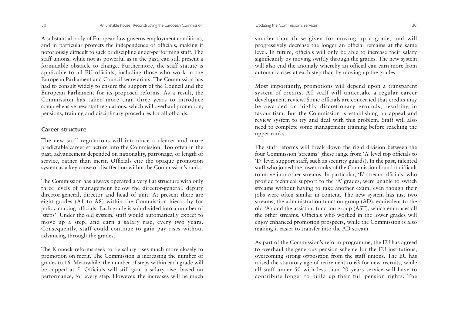A substantial body of European law governs employment conditions, and in particular protects the independence of officials, making it notoriously difficult to sack or discipline under-performing staff. The staff unions, while not as powerful as in the past, can still present a formidable obstacle to change. Furthermore, the staff statute is applicable to all EU officials, including those who work in the European Parliament and Council secretariats. The Commission has had to consult widely to ensure the support of the Council and the European Parliament for its proposed reforms. As a result, the Commission has taken more than three years to introduce comprehensive new staff regulations, which will overhaul promotion, pensions, training and disciplinary procedures for all officials.

### **Career structure**

The new staff regulations will introduce a clearer and more predictable career structure into the Commission. Too often in the past, advancement depended on nationality, patronage, or length of service, rather than merit. Officials cite the opaque promotion system as a key cause of disaffection within the Commission's ranks.

The Commission has always operated a very flat structure with only three levels of management below the director-general: deputy director-general, director and head of unit. At present there are eight grades (A1 to A8) within the Commission hierarchy for policy-making officials. Each grade is sub-divided into a number of 'steps'. Under the old system, staff would automatically expect to move up a step, and earn a salary rise, every two years. Consequently, staff could continue to gain pay rises without advancing through the grades.

The Kinnock reforms seek to tie salary rises much more closely to promotion on merit. The Commission is increasing the number of grades to 16. Meanwhile, the number of steps within each grade will be capped at 5. Officials will still gain a salary rise, based on performance, for every step. However, the increases will be much

smaller than those given for moving up a grade, and will progressively decrease the longer an official remains at the same level. In future, officials will only be able to increase their salary significantly by moving swiftly through the grades. The new system will also end the anomaly whereby an official can earn more from automatic rises at each step than by moving up the grades.

Most importantly, promotions will depend upon a transparent system of credits. All staff will undertake a regular career development review. Some officials are concerned that credits may be awarded on highly discretionary grounds, resulting in favouritism. But the Commission is establishing an appeal and review system to try and deal with this problem. Staff will also need to complete some management training before reaching the upper ranks.

The staff reforms will break down the rigid division between the four Commission 'streams' (these range from 'A' level top officials to 'D' level support staff, such as security guards). In the past, talented staff who joined the lower ranks of the Commission found it difficult to move into other streams. In particular, 'B' stream officials, who provide technical support to the 'A' grades, were unable to switch streams without having to take another exam, even though their jobs were often similar in content. The new system has just two streams, the administration function group (AD), equivalent to the old 'A'; and the assistant function group (AST), which embraces all the other streams. Officials who worked in the lower grades will enjoy enhanced promotion prospects, while the Commission is also making it easier to transfer into the AD stream.

As part of the Commission's reform programme, the EU has agreed to overhaul the generous pension scheme for the EU institutions, overcoming strong opposition from the staff unions. The EU has raised the statutory age of retirement to 63 for new recruits, while all staff under 50 with less than 20 years service will have to contribute longer to build up their full pension rights. The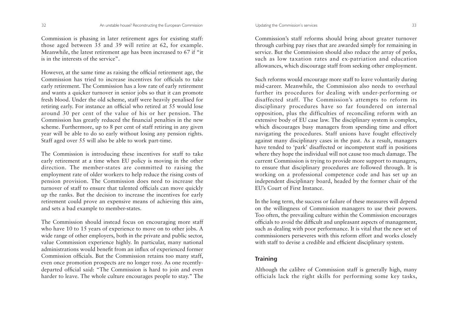Commission is phasing in later retirement ages for existing staff: those aged between 35 and 39 will retire at 62, for example. Meanwhile, the latest retirement age has been increased to 67 if "it is in the interests of the service".

However, at the same time as raising the official retirement age, the Commission has tried to increase incentives for officials to takeearly retirement. The Commission has a low rate of early retirement and wants a quicker turnover in senior jobs so that it can promote fresh blood. Under the old scheme, staff were heavily penalised for retiring early. For instance an official who retired at 55 would lose around 30 per cent of the value of his or her pension. The Commission has greatly reduced the financial penalties in the new scheme. Furthermore, up to 8 per cent of staff retiring in any given year will be able to do so early without losing any pension rights. Staff aged over 55 will also be able to work part-time.

The Commission is introducing these incentives for staff to take early retirement at a time when EU policy is moving in the other direction. The member-states are committed to raising the employment rate of older workers to help reduce the rising costs of pension provision. The Commission does need to increase the turnover of staff to ensure that talented officials can move quickly up the ranks. But the decision to increase the incentives for early retirement could prove an expensive means of achieving this aim, and sets a bad example to member-states.

The Commission should instead focus on encouraging more staff who have 10 to 15 years of experience to move on to other jobs. A wide range of other employers, both in the private and public sector, value Commission experience highly. In particular, many national administrations would benefit from an influx of experienced former Commission officials. But the Commission retains too many staff, even once promotion prospects are no longer rosy. As one recentlydeparted official said: "The Commission is hard to join and even harder to leave. The whole culture encourages people to stay." The

Commission's staff reforms should bring about greater turnover through curbing pay rises that are awarded simply for remaining in service. But the Commission should also reduce the array of perks, such as low taxation rates and ex-patriation and education allowances, which discourage staff from seeking other employment.

Such reforms would encourage more staff to leave voluntarily during mid-career. Meanwhile, the Commission also needs to overhaul further its procedures for dealing with under-performing or disaffected staff. The Commission's attempts to reform its disciplinary procedures have so far foundered on internal opposition, plus the difficulties of reconciling reform with an extensive body of EU case law. The disciplinary system is complex, which discourages busy managers from spending time and effort navigating the procedures. Staff unions have fought effectively against many disciplinary cases in the past. As a result, managers have tended to 'park' disaffected or incompetent staff in positions where they hope the individual will not cause too much damage. The current Commission is trying to provide more support to managers, to ensure that disciplinary procedures are followed through. It is working on a professional competence code and has set up an independent disciplinary board, headed by the former chair of the EU's Court of First Instance.

In the long term, the success or failure of these measures will depend on the willingness of Commission managers to use their powers. Too often, the prevailing culture within the Commission encourages officials to avoid the difficult and unpleasant aspects of management, such as dealing with poor performance. It is vital that the new set of commissioners perseveres with this reform effort and works closely with staff to devise a credible and efficient disciplinary system.

# **Training**

Although the calibre of Commission staff is generally high, many officials lack the right skills for performing some key tasks,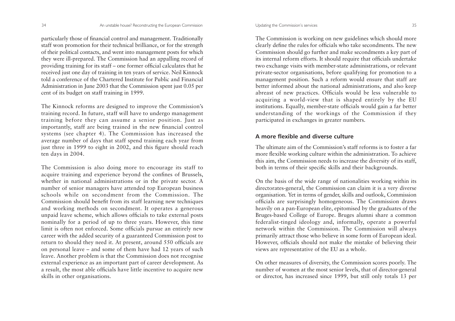particularly those of financial control and management. Traditionally staff won promotion for their technical brilliance, or for the strength of their political contacts, and went into management posts for which they were ill-prepared. The Commission had an appalling record of providing training for its staff – one former official calculates that he received just one day of training in ten years of service. Neil Kinnock told a conference of the Chartered Institute for Public and FinancialAdministration in June 2003 that the Commission spent just 0.05 per cent of its budget on staff training in 1999.

The Kinnock reforms are designed to improve the Commission's training record. In future, staff will have to undergo management training before they can assume a senior position. Just as importantly, staff are being trained in the new financial control systems (see chapter 4). The Commission has increased the average number of days that staff spend training each year from just three in 1999 to eight in 2002, and this figure should reach ten days in 2004.

The Commission is also doing more to encourage its staff to acquire training and experience beyond the confines of Brussels, whether in national administrations or in the private sector. A number of senior managers have attended top European business schools while on secondment from the Commission. TheCommission should benefit from its staff learning new techniques and working methods on secondment. It operates a generous unpaid leave scheme, which allows officials to take external posts nominally for a period of up to three years. However, this time limit is often not enforced. Some officials pursue an entirely new career with the added security of a guaranteed Commission post to return to should they need it. At present, around 550 officials are on personal leave – and some of them have had 12 years of such leave. Another problem is that the Commission does not recognise external experience as an important part of career development. As a result, the most able officials have little incentive to acquire new skills in other organisations.

The Commission is working on new guidelines which should more clearly define the rules for officials who take secondments. The new Commission should go further and make secondments a key part of its internal reform efforts. It should require that officials undertake two exchange visits with member-state administrations, or relevant private-sector organisations, before qualifying for promotion to a management position. Such a reform would ensure that staff are better informed about the national administrations, and also keep abreast of new practices. Officials would be less vulnerable to acquiring a world-view that is shaped entirely by the EU institutions. Equally, member-state officials would gain a far better understanding of the workings of the Commission if they participated in exchanges in greater numbers.

### **A more flexible and diverse culture**

The ultimate aim of the Commission's staff reforms is to foster a farmore flexible working culture within the administration. To achieve this aim, the Commission needs to increase the diversity of its staff, both in terms of their specific skills and their backgrounds.

On the basis of the wide range of nationalities working within its directorates-general, the Commission can claim it is a very diverse organisation. Yet in terms of gender, skills and outlook, Commission officials are surprisingly homogeneous. The Commission draws heavily on a pan-European elite, epitomised by the graduates of the Bruges-based College of Europe. Bruges alumni share a common federalist-tinged ideology and, informally, operate a powerful network within the Commission. The Commission will always primarily attract those who believe in some form of European ideal. However, officials should not make the mistake of believing their views are representative of the EU as a whole.

On other measures of diversity, the Commission scores poorly. The number of women at the most senior levels, that of director-general or director, has increased since 1999, but still only totals 13 per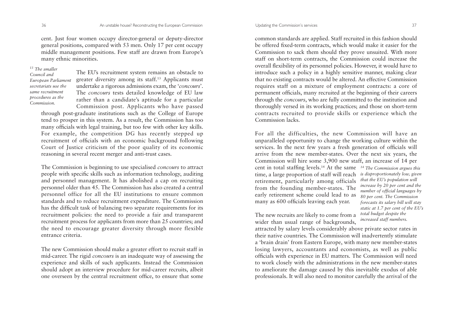cent. Just four women occupy director-general or deputy-director general positions, compared with 53 men. Only 17 per cent occupy middle management positions. Few staff are drawn from Europe's many ethnic minorities.

*13 The smaller*

*Council andEuropean Parliament secretariats use thesame recruitmentprocedures as the Commission.*

The EU's recruitment system remains an obstacle to greater diversity among its staff.13 Applicants must undertake a rigorous admissions exam, the '*concours*'. The *concours* tests detailed knowledge of EU law rather than a candidate's aptitude for a particular Commission post. Applicants who have passed

through post-graduate institutions such as the College of Europe tend to prosper in this system. As a result, the Commission has too many officials with legal training, but too few with other key skills. For example, the competition DG has recently stepped up recruitment of officials with an economic background following Court of Justice criticism of the poor quality of its economic reasoning in several recent merger and anti-trust cases.

The Commission is beginning to use specialised *concours* to attract people with specific skills such as information technology, auditing and personnel management. It has abolished a cap on recruiting personnel older than 45. The Commission has also created a central personnel office for all the EU institutions to ensure common standards and to reduce recruitment expenditure. The Commission has the difficult task of balancing two separate requirements for its recruitment policies: the need to provide a fair and transparent recruitment process for applicants from more than 25 countries; and the need to encourage greater diversity through more flexible entrance criteria.

The new Commission should make a greater effort to recruit staff in mid-career. The rigid *concours* is an inadequate way of assessing the experience and skills of such applicants. Instead the Commission should adopt an interview procedure for mid-career recruits, albeit one overseen by the central recruitment office, to ensure that some

common standards are applied. Staff recruited in this fashion should be offered fixed-term contracts, which would make it easier for the Commission to sack them should they prove unsuited. With more

staff on short-term contracts, the Commission could increase the overall flexibility of its personnel policies. However, it would have to introduce such a policy in a highly sensitive manner, making clear that no existing contracts would be altered. An effective Commission requires staff on a mixture of employment contracts: a core of permanent officials, many recruited at the beginning of their careers through the *concours*, who are fully committed to the institution and thoroughly versed in its working practices; and those on short-term contracts recruited to provide skills or experience which the Commission lacks.

For all the difficulties, the new Commission will have an unparalleled opportunity to change the working culture within the services. In the next few years a fresh generation of officials will arrive from the new member-states. Over the next six years, the Commission will hire some 3,900 new staff, an increase of 14 per cent in total staffing levels.14 At the same *14 The Commission argues this* time, a large proportion of staff will reach *is disproportionately low, given* retirement, particularly among officials from the founding member-states. The early retirement scheme could lead to as many as 600 officials leaving each year.

The new recruits are likely to come from a wider than usual range of backgrounds,

*that the EU's population will increase by 20 per cent and the number of official languages by 80 per cent. The Commission forecasts its salary bill will stay static at 1.7 per cent of the EU's total budget despite the increased staff numbers.*

attracted by salary levels considerably above private sector rates in their native countries. The Commission will inadvertently stimulate <sup>a</sup>'brain drain' from Eastern Europe, with many new member-states losing lawyers, accountants and economists, as well as public officials with experience in EU matters. The Commission will need to work closely with the administrations in the new member-states to ameliorate the damage caused by this inevitable exodus of able professionals. It will also need to monitor carefully the arrival of the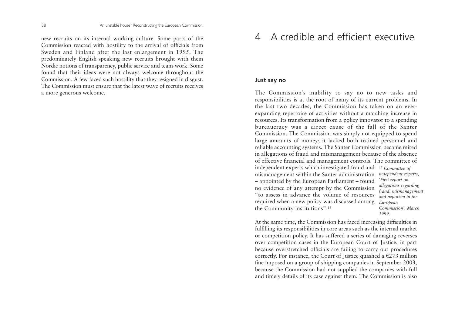new recruits on its internal working culture. Some parts of the Commission reacted with hostility to the arrival of officials from Sweden and Finland after the last enlargement in 1995. The predominately English-speaking new recruits brought with them Nordic notions of transparency, public service and team-work. Some found that their ideas were not always welcome throughout the Commission. A few faced such hostility that they resigned in disgust. The Commission must ensure that the latest wave of recruits receivesa more generous welcome.

# 4 A credible and efficient executive

### **Just say no**

The Commission's inability to say no to new tasks and responsibilities is at the root of many of its current problems. In the last two decades, the Commission has taken on an everexpanding repertoire of activities without a matching increase in resources. Its transformation from a policy innovator to a spending bureaucracy was a direct cause of the fall of the Santer Commission. The Commission was simply not equipped to spend large amounts of money; it lacked both trained personnel and reliable accounting systems. The Santer Commission became mired in allegations of fraud and mismanagement because of the absence of effective financial and management controls. The committee of independent experts which investigated fraud and *15 Committee of*  mismanagement within the Santer administration – appointed by the European Parliament – found no evidence of any attempt by the Commission "to assess in advance the volume of resourcesrequired when a new policy was discussed among *European* the Community institutions".15 *independent experts, 'First report on allegations regarding fraud, mismanagement and nepotism in the Commission', March 1999.*

At the same time, the Commission has faced increasing difficulties in fulfilling its responsibilities in core areas such as the internal market or competition policy. It has suffered a series of damaging reverses over competition cases in the European Court of Justice, in part because overstretched officials are failing to carry out procedures correctly. For instance, the Court of Justice quashed a  $\epsilon$ 273 million fine imposed on a group of shipping companies in September 2003, because the Commission had not supplied the companies with full and timely details of its case against them. The Commission is also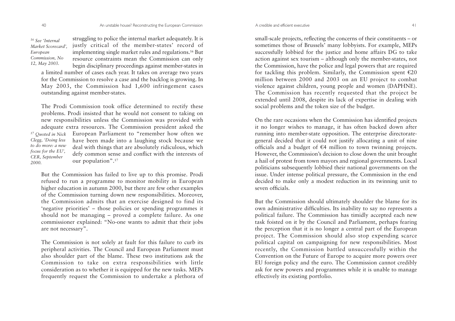*16 See 'InternalMarket Scorecard', European Commission, No 12, May 2003.*

struggling to police the internal market adequately. It is justly critical of the member-states' record of implementing single market rules and regulations.16 But resource constraints mean the Commission can only begin disciplinary proceedings against member-states in a limited number of cases each year. It takes on average two years

for the Commission to resolve a case and the backlog is growing. In May 2003, the Commission had 1,600 infringement cases outstanding against member-states.

The Prodi Commission took office determined to rectify these problems. Prodi insisted that he would not consent to taking on new responsibilities unless the Commission was provided with adequate extra resources. The Commission president asked the European Parliament to "remember how often we have been made into a laughing stock because we deal with things that are absolutely ridiculous, which defy common sense and conflict with the interests of our population".17 *17 Quoted in Nick Clegg, 'Doing less to do more: a newfocus for the EU', CER, September 2000.*

But the Commission has failed to live up to this promise. Prodi refused to run a programme to monitor mobility in European higher education in autumn 2000, but there are few other examples of the Commission turning down new responsibilities. Moreover, the Commission admits that an exercise designed to find its 'negative priorities' – those policies or spending programmes it should not be managing – proved a complete failure. As one commissioner explained: "No-one wants to admit that their jobs are not necessary".

The Commission is not solely at fault for this failure to curb its peripheral activities. The Council and European Parliament must also shoulder part of the blame. These two institutions ask the Commission to take on extra responsibilities with little consideration as to whether it is equipped for the new tasks. MEPs frequently request the Commission to undertake a plethora of

small-scale projects, reflecting the concerns of their constituents – or sometimes those of Brussels' many lobbyists. For example, MEPs successfully lobbied for the justice and home affairs DG to take action against sex tourism – although only the member-states, not the Commission, have the police and legal powers that are required for tackling this problem. Similarly, the Commission spent S20 million between 2000 and 2003 on an EU project to combat violence against children, young people and women (DAPHNE). The Commission has recently requested that the project be extended until 2008, despite its lack of expertise in dealing with social problems and the token size of the budget.

On the rare occasions when the Commission has identified projects it no longer wishes to manage, it has often backed down after running into member-state opposition. The enterprise directorategeneral decided that it could not justify allocating a unit of nine officials and a budget of  $\epsilon$ 4 million to town twinning projects. However, the Commission's decision to close down the unit brought a hail of protest from town mayors and regional governments. Local politicians subsequently lobbied their national governments on the issue. Under intense political pressure, the Commission in the end decided to make only a modest reduction in its twinning unit to seven officials.

But the Commission should ultimately shoulder the blame for its own administrative difficulties. Its inability to say no represents a political failure. The Commission has timidly accepted each new task foisted on it by the Council and Parliament, perhaps fearing the perception that it is no longer a central part of the European project. The Commission should also stop expending scarce political capital on campaigning for new responsibilities. Most recently, the Commission battled unsuccessfully within the Convention on the Future of Europe to acquire more powers over EU foreign policy and the euro. The Commission cannot credibly ask for new powers and programmes while it is unable to manage effectively its existing portfolio.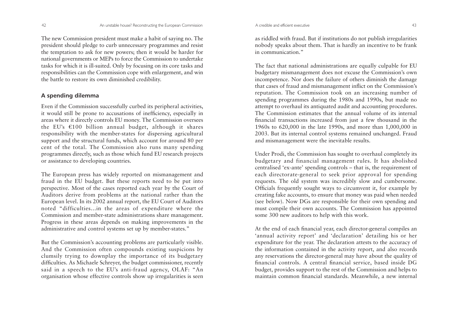The new Commission president must make a habit of saying no. The president should pledge to curb unnecessary programmes and resist the temptation to ask for new powers; then it would be harder for national governments or MEPs to force the Commission to undertake tasks for which it is ill-suited. Only by focusing on its core tasks and responsibilities can the Commission cope with enlargement, and win the battle to restore its own diminished credibility.

# **A spending dilemma**

Even if the Commission successfully curbed its peripheral activities, it would still be prone to accusations of inefficiency, especially in areas where it directly controls EU money. The Commission oversees the EU's S100 billion annual budget, although it shares responsibility with the member-states for dispersing agricultural support and the structural funds, which account for around 80 per cent of the total. The Commission also runs many spending programmes directly, such as those which fund EU research projects or assistance to developing countries.

The European press has widely reported on mismanagement and fraud in the EU budget. But these reports need to be put into perspective. Most of the cases reported each year by the Court of Auditors derive from problems at the national rather than the European level. In its 2002 annual report, the EU Court of Auditors noted "difficulties...in the areas of expenditure where the Commission and member-state administrations share management. Progress in these areas depends on making improvements in the administrative and control systems set up by member-states."

But the Commission's accounting problems are particularly visible. And the Commission often compounds existing suspicions by clumsily trying to downplay the importance of its budgetary difficulties. As Michaele Schreyer, the budget commissioner, recently said in a speech to the EU's anti-fraud agency, OLAF: "An organisation whose effective controls show up irregularities is seen

as riddled with fraud. But if institutions do not publish irregularities nobody speaks about them. That is hardly an incentive to be frank in communication."

The fact that national administrations are equally culpable for EU budgetary mismanagement does not excuse the Commission's own incompetence. Nor does the failure of others diminish the damage that cases of fraud and mismanagement inflict on the Commission's reputation. The Commission took on an increasing number of spending programmes during the 1980s and 1990s, but made no attempt to overhaul its antiquated audit and accounting procedures. The Commission estimates that the annual volume of its internalfinancial transactions increased from just a few thousand in the 1960s to 620,000 in the late 1990s, and more than 1,000,000 in 2003. But its internal control systems remained unchanged. Fraud and mismanagement were the inevitable results.

Under Prodi, the Commission has sought to overhaul completely its budgetary and financial management rules. It has abolished centralised 'ex-ante' spending controls – that is, the requirement of each directorate-general to seek prior approval for spending requests. The old system was incredibly slow and cumbersome. Officials frequently sought ways to circumvent it, for example by creating fake accounts, to ensure that money was paid when needed (see below). Now DGs are responsible for their own spending and must compile their own accounts. The Commission has appointed some 300 new auditors to help with this work.

At the end of each financial year, each director-general compiles an 'annual activity report' and 'declaration' detailing his or her expenditure for the year. The declaration attests to the accuracy of the information contained in the activity report, and also records any reservations the director-general may have about the quality of financial controls. A central financial service, based inside DG budget, provides support to the rest of the Commission and helps to maintain common financial standards. Meanwhile, a new internal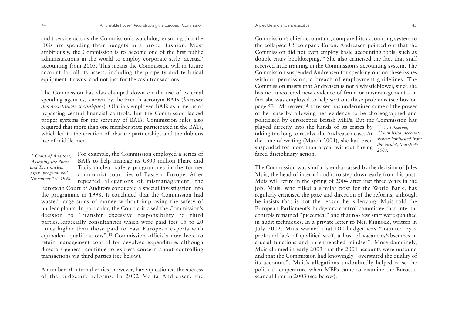audit service acts as the Commission's watchdog, ensuring that the DGs are spending their budgets in a proper fashion. Most ambitiously, the Commission is to become one of the first public administrations in the world to employ corporate style 'accrual' accounting from 2005. This means the Commission will in future account for all its assets, including the property and technical equipment it owns, and not just for the cash transactions.

The Commission has also clamped down on the use of external spending agencies, known by the French acronym BATs (*bureaux des assistances techniques*). Officials employed BATs as a means of bypassing central financial controls. But the Commission lacked proper systems for the scrutiny of BATs. Commission rules also required that more than one member-state participated in the BATs, which led to the creation of obscure partnerships and the dubious use of middle-men.

*18 Court of Auditors, 'Assessing the Phare and Tacis nuclearsafety programmes', November 16th 1998.* For example, the Commission employed a series of BATs to help manage its S800 million Phare and Tacis nuclear safety programmes in the former communist countries of Eastern Europe. After repeated allegations of mismanagement, the

European Court of Auditors conducted a special investigation into the programme in 1998. It concluded that the Commission had wasted large sums of money without improving the safety of nuclear plants. In particular, the Court criticised the Commission's decision to "transfer excessive responsibility to third parties...especially consultancies which were paid fees 15 to 20 times higher than those paid to East European experts with equivalent qualifications".18 Commission officials now have to retain management control for devolved expenditure, although directors-general continue to express concern about controlling transactions via third parties (see below).

A number of internal critics, however, have questioned the success of the budgetary reforms. In 2002 Marta Andreasen, the

Commission's chief accountant, compared its accounting system to the collapsed US company Enron. Andreasen pointed out that the Commission did not even employ basic accounting tools, such as double-entry bookkeeping.19 She also criticised the fact that staff received little training in the Commission's accounting system. The Commission suspended Andreasen for speaking out on these issues without permission, a breach of employment guidelines. The Commission insists that Andreasen is not a whistleblower, since she has not uncovered new evidence of fraud or mismanagement – in fact she was employed to help sort out these problems (see box on page 53). Moreover, Andreasen has undermined some of the power of her case by allowing her evidence to be choreographed and politicised by eurosceptic British MEPs. But the Commission has <sup>p</sup>layed directly into the hands of its critics by *19 EU Observer,* taking too long to resolve the Andreasen case. At *'Commission accounts* the time of writing (March 2004), she had been suspended for more than a year without having *2003.*faced disciplinary action. *system lambasted from the inside', March 4th*

The Commission was similarly embarrassed by the decision of Jules Muis, the head of internal audit, to step down early from his post. Muis will retire in the spring of 2004 after just three years in the job. Muis, who filled a similar post for the World Bank, has regularly criticised the pace and direction of the reforms, although he insists that is not the reason he is leaving. Muis told the European Parliament's budgetary control committee that internal controls remained "piecemeal" and that too few staff were qualified in audit techniques. In a private letter to Neil Kinnock, written in July 2002, Muis warned that DG budget was "haunted by a profound lack of qualified staff, a host of vacancies/absentees in crucial functions and an entrenched mindset". More damningly, Muis claimed in early 2003 that the 2001 accounts were unsound and that the Commission had knowingly "overstated the quality of its accounts". Muis's allegations undoubtedly helped raise the political temperature when MEPs came to examine the Eurostat scandal later in 2003 (see below).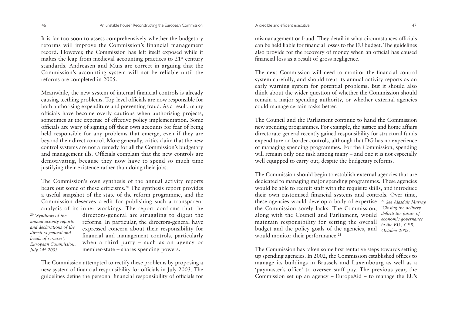It is far too soon to assess comprehensively whether the budgetary reforms will improve the Commission's financial management record. However, the Commission has left itself exposed while it makes the leap from medieval accounting practices to 21st century standards. Andreasen and Muis are correct in arguing that the Commission's accounting system will not be reliable until the reforms are completed in 2005.

Meanwhile, the new system of internal financial controls is already causing teething problems. Top-level officials are now responsible for both authorising expenditure and preventing fraud. As a result, many officials have become overly cautious when authorising projects, sometimes at the expense of effective policy implementation. Some officials are wary of signing off their own accounts for fear of being held responsible for any problems that emerge, even if they are beyond their direct control. More generally, critics claim that the new control systems are not a remedy for all the Commission's budgetary and management ills. Officials complain that the new controls are demotivating, because they now have to spend so much time justifying their existence rather than doing their jobs.

The Commission's own synthesis of the annual activity reports bears out some of these criticisms.20 The synthesis report provides a useful snapshot of the state of the reform programme, and the Commission deserves credit for publishing such a transparent analysis of its inner workings. The report confirms that the directors-general are struggling to digest the reforms. In particular, the directors-general have expressed concern about their responsibility for financial and management controls, particularly when a third party – such as an agency or member-state – shares spending powers. *20 'Synthesis of the annual activity reports and declarations of the directors-general and heads of services', European Commission, July 24th 2003.*

The Commission attempted to rectify these problems by proposing a new system of financial responsibility for officials in July 2003. The guidelines define the personal financial responsibility of officials for

mismanagement or fraud. They detail in what circumstances officials can be held liable for financial losses to the EU budget. The guidelines also provide for the recovery of money when an official has caused financial loss as a result of gross negligence.

The next Commission will need to monitor the financial controlsystem carefully, and should treat its annual activity reports as an early warning system for potential problems. But it should also think about the wider question of whether the Commission should remain a major spending authority, or whether external agencies could manage certain tasks better.

The Council and the Parliament continue to hand the Commissionnew spending programmes. For example, the justice and home affairs directorate-general recently gained responsibility for structural funds expenditure on border controls, although that DG has no experience of managing spending programmes. For the Commission, spending will remain only one task among many – and one it is not especially well equipped to carry out, despite the budgetary reforms.

The Commission should begin to establish external agencies that are dedicated to managing major spending programmes. These agencies would be able to recruit staff with the requisite skills, and introduce their own customised financial systems and controls. Over time, these agencies would develop a body of expertise *21 See Alasdair Murray,* the Commission sorely lacks. The Commission, along with the Council and Parliament, would maintain responsibility for setting the overall budget and the policy goals of the agencies, and would monitor their performance.<sup>21</sup> *'Closing the delivery deficit: the future of economic governance in the EU', CER, October 2002.*

The Commission has taken some first tentative steps towards setting up spending agencies. In 2002, the Commission established offices to manage its buildings in Brussels and Luxembourg as well as a 'paymaster's office' to oversee staff pay. The previous year, the Commission set up an agency – EuropeAid – to manage the EU's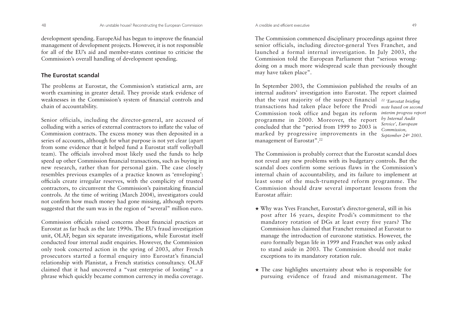development spending. EuropeAid has begun to improve the financial management of development projects. However, it is not responsible for all of the EU's aid and member-states continue to criticise theCommission's overall handling of development spending.

### **The Eurostat scandal**

The problems at Eurostat, the Commission's statistical arm, are worth examining in greater detail. They provide stark evidence of weaknesses in the Commission's system of financial controls and chain of accountability.

Senior officials, including the director-general, are accused of colluding with a series of external contractors to inflate the value of Commission contracts. The excess money was then deposited in a series of accounts, although for what purpose is not yet clear (apart from some evidence that it helped fund a Eurostat staff volleyball team). The officials involved most likely used the funds to help speed up other Commission financial transactions, such as buying in new research, rather than for personal gain. The case closely resembles previous examples of a practice known as 'enveloping': officials create irregular reserves, with the complicity of trusted contractors, to circumvent the Commission's painstaking financial controls. At the time of writing (March 2004), investigators could not confirm how much money had gone missing, although reports suggested that the sum was in the region of "several" million euro.

Commission officials raised concerns about financial practices at Eurostat as far back as the late 1990s. The EU's fraud investigation unit, OLAF, began six separate investigations, while Eurostat itself conducted four internal audit enquiries. However, the Commission only took concerted action in the spring of 2003, after French prosecutors started a formal enquiry into Eurostat's financial relationship with Planistat, a French statistics consultancy. OLAF claimed that it had uncovered a "vast enterprise of looting" – a <sup>p</sup>hrase which quickly became common currency in media coverage.

The Commission commenced disciplinary proceedings against three senior officials, including director-general Yves Franchet, and launched a formal internal investigation. In July 2003, the Commission told the European Parliament that "serious wrongdoing on a much more widespread scale than previously thought may have taken place".

In September 2003, the Commission published the results of an internal auditors' investigation into Eurostat. The report claimed that the vast majority of the suspect financial *22 'Eurostat briefing* transactions had taken place before the Prodi *note based on second* Commission took office and began its reform *interim progress report* programme in 2000. Moreover, the report concluded that the "period from 1999 to 2003 is marked by progressive improvements in the management of Eurostat".22 *Commission,*

*by Internal Audit Service', European September 24th 2003.*

The Commission is probably correct that the Eurostat scandal does not reveal any new problems with its budgetary controls. But the scandal does confirm some serious flaws in the Commission's internal chain of accountability, and its failure to implement at least some of the much-trumpeted reform programme. The Commission should draw several important lessons from the Eurostat affair:

- ★ Why was Yves Franchet, Eurostat's director-general, still in his post after 16 years, despite Prodi's commitment to the mandatory rotation of DGs at least every five years? The Commission has claimed that Franchet remained at Eurostat tomanage the introduction of eurozone statistics. However, the euro formally began life in 1999 and Franchet was only asked to stand aside in 2003. The Commission should not makeexceptions to its mandatory rotation rule.
- ★ The case highlights uncertainty about who is responsible for pursuing evidence of fraud and mismanagement. The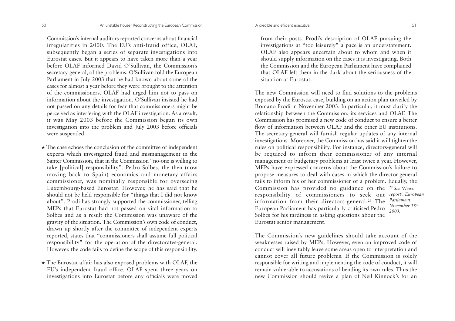Commission's internal auditors reported concerns about financial irregularities in 2000. The EU's anti-fraud office, OLAF, subsequently began a series of separate investigations into Eurostat cases. But it appears to have taken more than a year before OLAF informed David O'Sullivan, the Commission's secretary-general, of the problems. O'Sullivan told the European Parliament in July 2003 that he had known about some of the cases for almost a year before they were brought to the attention of the commissioners. OLAF had urged him not to pass on information about the investigation. O'Sullivan insisted he had not passed on any details for fear that commissioners might be perceived as interfering with the OLAF investigation. As a result, it was May 2003 before the Commission began its own investigation into the problem and July 2003 before officials were suspended.

- ★ The case echoes the conclusion of the committee of independent experts which investigated fraud and mismanagement in the Santer Commission, that in the Commission "no-one is willing to take [political] responsibility". Pedro Solbes, the then (now moving back to Spain) economics and monetary affairs commissioner, was nominally responsible for overseeing Luxembourg-based Eurostat. However, he has said that he should not be held responsible for "things that I did not know about". Prodi has strongly supported the commissioner, telling MEPs that Eurostat had not passed on vital information to Solbes and as a result the Commission was unaware of the gravity of the situation. The Commission's own code of conduct, drawn up shortly after the committee of independent experts reported, states that "commissioners shall assume full political responsibility" for the operation of the directorates-general. However, the code fails to define the scope of this responsibility.
- ★ The Eurostat affair has also exposed problems with OLAF, the EU's independent fraud office. OLAF spent three years on investigations into Eurostat before any officials were moved

from their posts. Prodi's description of OLAF pursuing the investigations at "too leisurely" a pace is an understatement. OLAF also appears uncertain about to whom and when it should supply information on the cases it is investigating. Both the Commission and the European Parliament have complained that OLAF left them in the dark about the seriousness of thesituation at Eurostat.

The new Commission will need to find solutions to the problems exposed by the Eurostat case, building on an action plan unveiled by Romano Prodi in November 2003. In particular, it must clarify the relationship between the Commission, its services and OLAF. The Commission has promised a new code of conduct to ensure a better flow of information between OLAF and the other EU institutions. The secretary-general will furnish regular updates of any internal investigations. Moreover, the Commission has said it will tighten the rules on political responsibility. For instance, directors-general will be required to inform their commissioner of any internal management or budgetary problems at least twice a year. However, MEPs have expressed concerns about the Commission's failure to propose measures to deal with cases in which the director-general fails to inform his or her commissioner of a problem. Equally, the Commission has provided no guidance on the *23 See 'News* responsibility of commissioners to seek out *report', European* information from their directors-general.23 The *Parliament,* European Parliament has particularly criticised Pedro Solbes for his tardiness in asking questions about the Eurostat senior management. *November 18th 2003.*

The Commission's new guidelines should take account of the weaknesses raised by MEPs. However, even an improved code of conduct will inevitably leave some areas open to interpretation and

cannot cover all future problems. If the Commission is solely responsible for writing and implementing the code of conduct, it will remain vulnerable to accusations of bending its own rules. Thus the new Commission should revive a plan of Neil Kinnock's for an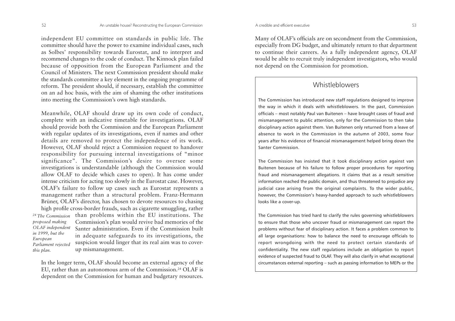independent EU committee on standards in public life. The committee should have the power to examine individual cases, such as Solbes' responsibility towards Eurostat, and to interpret and recommend changes to the code of conduct. The Kinnock plan failed because of opposition from the European Parliament and the Council of Ministers. The next Commission president should make the standards committee a key element in the ongoing programme of reform. The president should, if necessary, establish the committee on an ad hoc basis, with the aim of shaming the other institutions into meeting the Commission's own high standards.

Meanwhile, OLAF should draw up its own code of conduct, complete with an indicative timetable for investigations. OLAF should provide both the Commission and the European Parliament with regular updates of its investigations, even if names and other details are removed to protect the independence of its work. However, OLAF should reject a Commission request to handover responsibility for pursuing internal investigations of "minor significance". The Commission's desire to oversee some investigations is understandable (although the Commission would allow OLAF to decide which cases to open). It has come under intense criticism for acting too slowly in the Eurostat case. However, OLAF's failure to follow up cases such as Eurostat represents a management rather than a structural problem. Franz-Hermann Brüner, OLAF's director, has chosen to devote resources to chasing high profile cross-border frauds, such as cigarette smuggling, rather <sup>24</sup> The Commission than problems within the EU institutions. The Commission's plan would revive bad memories of the Santer administration. Even if the Commission builtin adequate safeguards to its investigations, the suspicion would linger that its real aim was to coverup mismanagement. *proposed making OLAF independent in 1999, but the European Parliament rejected this plan.*

In the longer term, OLAF should become an external agency of the EU, rather than an autonomous arm of the Commission.24 OLAF is dependent on the Commission for human and budgetary resources.

Many of OLAF's officials are on secondment from the Commission, especially from DG budget, and ultimately return to that department to continue their careers. As a fully independent agency, OLAF would be able to recruit truly independent investigators, who would not depend on the Commission for promotion.

# Whistleblowers

The Commission has introduced new staff regulations designed to improve the way in which it deals with whistleblowers. In the past, Commission officials – most notably Paul van Buitenen – have brought cases of fraud and mismanagement to public attention, only for the Commission to then take disciplinary action against them. Van Buitenen only returned from a leave of absence to work in the Commission in the autumn of 2003, some four years after his evidence of financial mismanagement helped bring down the Santer Commission.

The Commission has insisted that it took disciplinary action against van Buitenen because of his failure to follow proper procedures for reporting fraud and mismanagement allegations. It claims that as a result sensitive information reached the public domain, and thus threatened to prejudice any judicial case arising from the original complaints. To the wider public, however, the Commission's heavy-handed approach to such whistleblowers looks like a cover-up.

The Commission has tried hard to clarify the rules governing whistleblowers to ensure that those who uncover fraud or mismanagement can report the problems without fear of disciplinary action. It faces a problem common to all large organisations: how to balance the need to encourage officials to report wrongdoing with the need to protect certain standards of confidentiality. The new staff regulations include an obligation to report evidence of suspected fraud to OLAF. They will also clarify in what exceptional circumstances external reporting – such as passing information to MEPs or the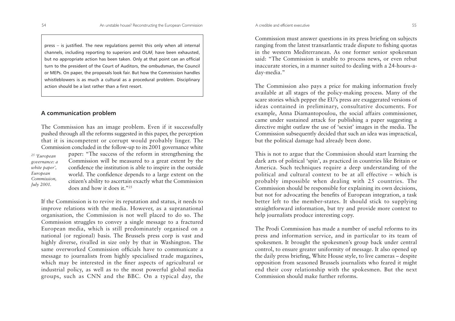press – is justified. The new regulations permit this only when all internal channels, including reporting to superiors and OLAF, have been exhausted, but no appropriate action has been taken. Only at that point can an official turn to the president of the Court of Auditors, the ombudsman, the Council or MEPs. On paper, the proposals look fair. But how the Commission handles whistleblowers is as much a cultural as a procedural problem. Disciplinary action should be a last rather than a first resort.

### **A communication problem**

The Commission has an image problem. Even if it successfully pushed through all the reforms suggested in this paper, the perception that it is incompetent or corrupt would probably linger. The Commission concluded in the follow-up to its 2001 governance white

*25 'European governance: a white paper', European Commission, July 2001.*

paper: "The success of the reform in strengthening the Commission will be measured to a great extent by the confidence the institution is able to inspire in the outside world. The confidence depends to a large extent on the citizen's ability to ascertain exactly what the Commission does and how it does it."25

If the Commission is to revive its reputation and status, it needs to improve relations with the media. However, as a supranational organisation, the Commission is not well placed to do so. The Commission struggles to convey a single message to a fractured European media, which is still predominately organised on a national (or regional) basis. The Brussels press corp is vast and highly diverse, rivalled in size only by that in Washington. The same overworked Commission officials have to communicate amessage to journalists from highly specialised trade magazines, which may be interested in the finer aspects of agricultural or industrial policy, as well as to the most powerful global media groups, such as CNN and the BBC. On a typical day, the

Commission must answer questions in its press briefing on subjects ranging from the latest transatlantic trade dispute to fishing quotas in the western Mediterranean. As one former senior spokesman said: "The Commission is unable to process news, or even rebut inaccurate stories, in a manner suited to dealing with a 24-hours-aday-media."

The Commission also pays a price for making information freely available at all stages of the policy-making process. Many of the scare stories which pepper the EU's press are exaggerated versions of ideas contained in preliminary, consultative documents. For example, Anna Diamantopoulou, the social affairs commissioner, came under sustained attack for publishing a paper suggesting a directive might outlaw the use of 'sexist' images in the media. The Commission subsequently decided that such an idea was impractical, but the political damage had already been done.

This is not to argue that the Commission should start learning the dark arts of political 'spin', as practiced in countries like Britain or America. Such techniques require a deep understanding of the political and cultural context to be at all effective – which is probably impossible when dealing with 25 countries. The Commission should be responsible for explaining its own decisions, but not for advocating the benefits of European integration, a task better left to the member-states. It should stick to supplying straightforward information, but try and provide more context to help journalists produce interesting copy.

The Prodi Commission has made a number of useful reforms to itspress and information service, and in particular to its team of spokesmen. It brought the spokesmen's group back under central control, to ensure greater uniformity of message. It also opened up the daily press briefing, White House style, to live cameras – despite opposition from seasoned Brussels journalists who feared it might end their cosy relationship with the spokesmen. But the next Commission should make further reforms.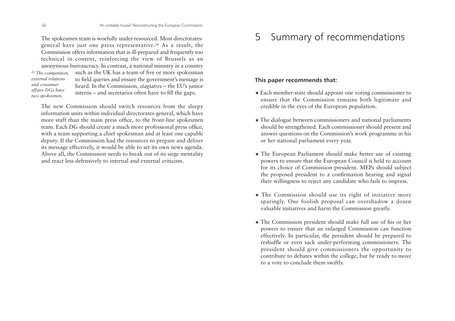The spokesmen team is woefully under-resourced. Most directoratesgeneral have just one press representative.26 As a result, the Commission offers information that is ill-prepared and frequently too technical in content, reinforcing the view of Brussels as an anonymous bureaucracy. In contrast, a national ministry in a country such as the UK has a team of five or more spokesman to field queries and ensure the government's message is heard. In the Commission, *stagiaires* – the EU's junior interns – and secretaries often have to fill the gaps. *26 The competition, external relationsand consumeraffairs DGs have two spokesmen.*

The new Commission should switch resources from the sleepy information units within individual directorates-general, which have more staff than the main press office, to the front-line spokesmen team. Each DG should create a much more professional press office, with a team supporting a chief spokesman and at least one capable deputy. If the Commission had the resources to prepare and deliver its message effectively, it would be able to set its own news agenda. Above all, the Commission needs to break out of its siege mentality and react less defensively to internal and external criticism.

#### 5Summary of recommendations

# **This paper recommends that:**

- ★ Each member-state should appoint one voting commissioner to ensure that the Commission remains both legitimate and credible in the eyes of the European population.
- ★ The dialogue between commissioners and national parliaments should be strengthened. Each commissioner should present and answer questions on the Commission's work programme in his or her national parliament every year.
- ★ The European Parliament should make better use of existing powers to ensure that the European Council is held to account for its choice of Commission president. MEPs should subject the proposed president to a confirmation hearing and signal their willingness to reject any candidate who fails to impress.
- ★ The Commission should use its right of initiative more sparingly. One foolish proposal can overshadow a dozen valuable initiatives and harm the Commission greatly.
- ★ The Commission president should make full use of his or her powers to ensure that an enlarged Commission can function effectively. In particular, the president should be prepared to reshuffle or even sack under-performing commissioners. The president should give commissioners the opportunity to contribute to debates within the college, but be ready to move to a vote to conclude them swiftly.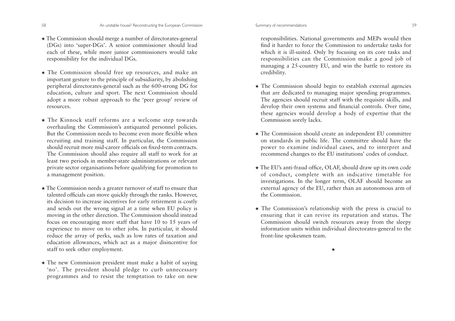#### Summary of recommendations 59

- ★ The Commission should merge a number of directorates-general (DGs) into 'super-DGs'. A senior commissioner should lead each of these, while more junior commissioners would take responsibility for the individual DGs.
- ★ The Commission should free up resources, and make an important gesture to the principle of subsidiarity, by abolishing peripheral directorates-general such as the 600-strong DG for education, culture and sport. The next Commission should adopt a more robust approach to the 'peer group' review of resources.
- ★ The Kinnock staff reforms are a welcome step towards overhauling the Commission's antiquated personnel policies. But the Commission needs to become even more flexible whenrecruiting and training staff. In particular, the Commission should recruit more mid-career officials on fixed-term contracts.The Commission should also require all staff to work for at least two periods in member-state administrations or relevant private sector organisations before qualifying for promotion to a management position.
- ★ The Commission needs a greater turnover of staff to ensure that talented officials can move quickly through the ranks. However, its decision to increase incentives for early retirement is costly and sends out the wrong signal at a time when EU policy is moving in the other direction. The Commission should instead focus on encouraging more staff that have 10 to 15 years of experience to move on to other jobs. In particular, it should reduce the array of perks, such as low rates of taxation and education allowances, which act as a major disincentive for staff to seek other employment.
- ★ The new Commission president must make a habit of saying 'no'. The president should pledge to curb unnecessary programmes and to resist the temptation to take on new

responsibilities. National governments and MEPs would then find it harder to force the Commission to undertake tasks forwhich it is ill-suited. Only by focusing on its core tasks and responsibilities can the Commission make a good job of managing a 25-country EU, and win the battle to restore its credibility.

- ★ The Commission should begin to establish external agencies that are dedicated to managing major spending programmes. The agencies should recruit staff with the requisite skills, and develop their own systems and financial controls. Over time, these agencies would develop a body of expertise that the Commission sorely lacks.
- ★ The Commission should create an independent EU committee on standards in public life. The committee should have the power to examine individual cases, and to interpret and recommend changes to the EU institutions' codes of conduct.
- ★ The EU's anti-fraud office, OLAF, should draw up its own code of conduct, complete with an indicative timetable for investigations. In the longer term, OLAF should become an external agency of the EU, rather than an autonomous arm of the Commission.
- ★ The Commission's relationship with the press is crucial to ensuring that it can revive its reputation and status. The Commission should switch resources away from the sleepy information units within individual directorates-general to the front-line spokesmen team.